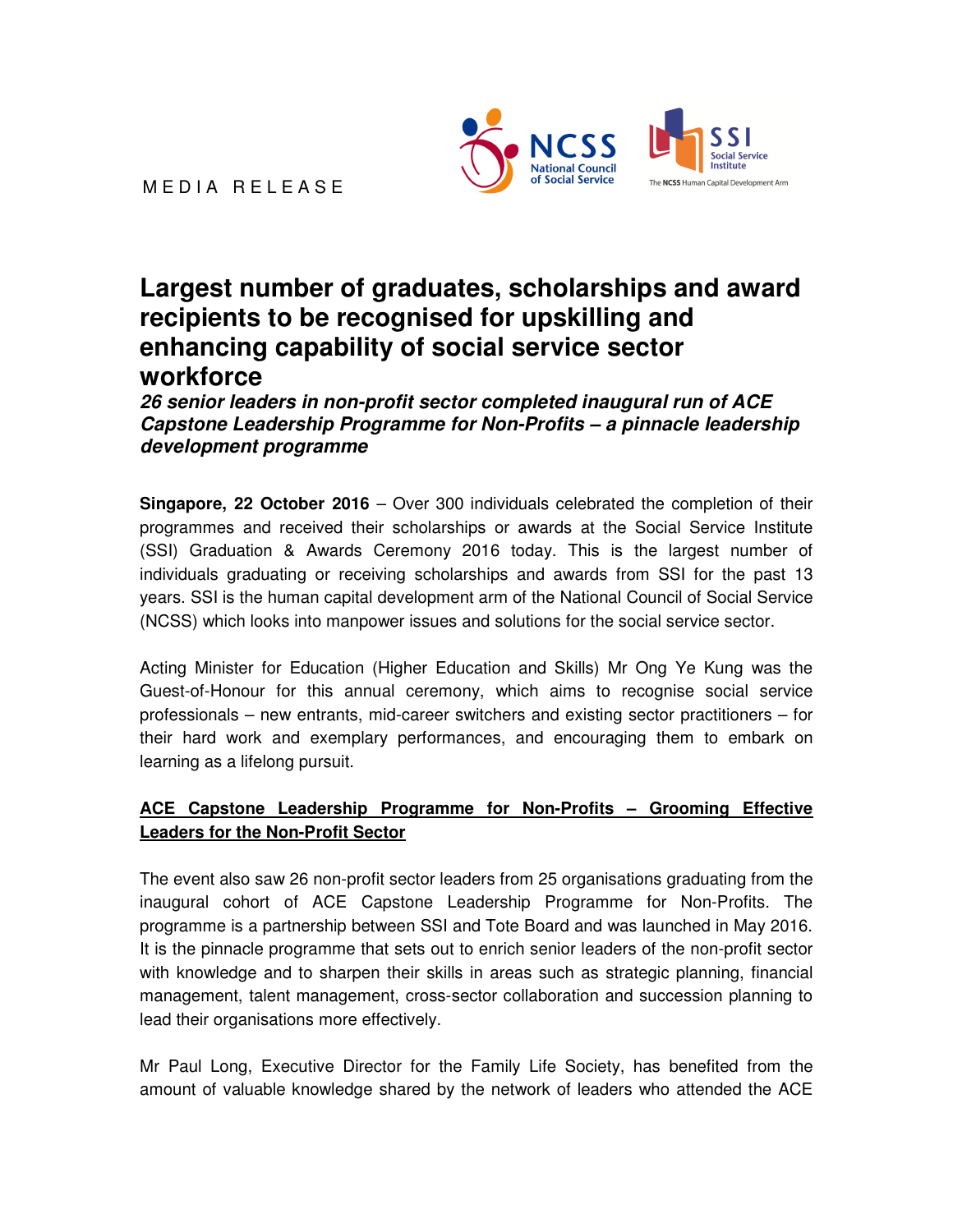

MEDIA RELEASE

# **Largest number of graduates, scholarships and award recipients to be recognised for upskilling and enhancing capability of social service sector workforce**

**26 senior leaders in non-profit sector completed inaugural run of ACE Capstone Leadership Programme for Non-Profits – a pinnacle leadership development programme** 

**Singapore, 22 October 2016** – Over 300 individuals celebrated the completion of their programmes and received their scholarships or awards at the Social Service Institute (SSI) Graduation & Awards Ceremony 2016 today. This is the largest number of individuals graduating or receiving scholarships and awards from SSI for the past 13 years. SSI is the human capital development arm of the National Council of Social Service (NCSS) which looks into manpower issues and solutions for the social service sector.

Acting Minister for Education (Higher Education and Skills) Mr Ong Ye Kung was the Guest-of-Honour for this annual ceremony, which aims to recognise social service professionals – new entrants, mid-career switchers and existing sector practitioners – for their hard work and exemplary performances, and encouraging them to embark on learning as a lifelong pursuit.

## **ACE Capstone Leadership Programme for Non-Profits – Grooming Effective Leaders for the Non-Profit Sector**

The event also saw 26 non-profit sector leaders from 25 organisations graduating from the inaugural cohort of ACE Capstone Leadership Programme for Non-Profits. The programme is a partnership between SSI and Tote Board and was launched in May 2016. It is the pinnacle programme that sets out to enrich senior leaders of the non-profit sector with knowledge and to sharpen their skills in areas such as strategic planning, financial management, talent management, cross-sector collaboration and succession planning to lead their organisations more effectively.

Mr Paul Long, Executive Director for the Family Life Society, has benefited from the amount of valuable knowledge shared by the network of leaders who attended the ACE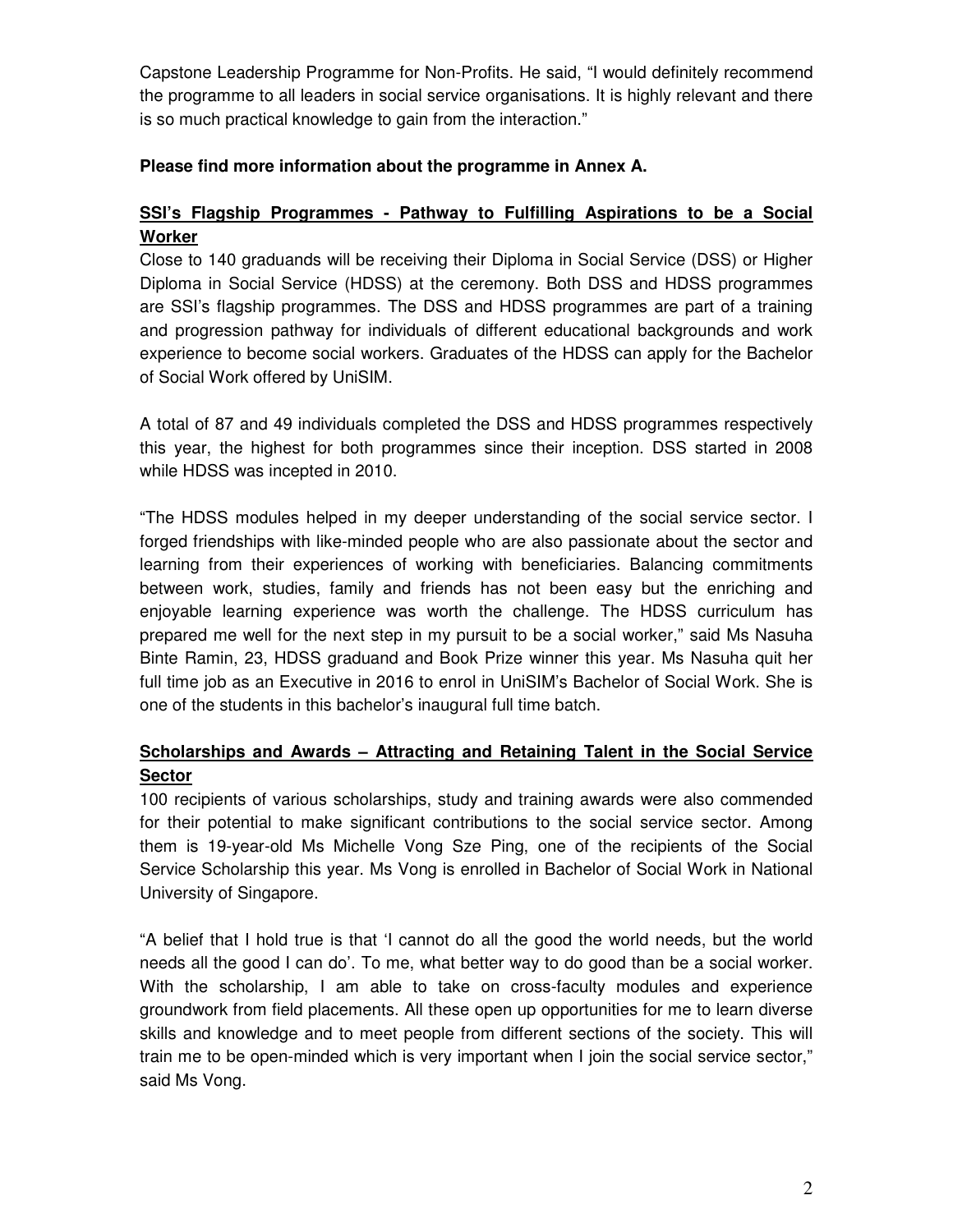Capstone Leadership Programme for Non-Profits. He said, "I would definitely recommend the programme to all leaders in social service organisations. It is highly relevant and there is so much practical knowledge to gain from the interaction."

## **Please find more information about the programme in Annex A.**

## **SSI's Flagship Programmes - Pathway to Fulfilling Aspirations to be a Social Worker**

Close to 140 graduands will be receiving their Diploma in Social Service (DSS) or Higher Diploma in Social Service (HDSS) at the ceremony. Both DSS and HDSS programmes are SSI's flagship programmes. The DSS and HDSS programmes are part of a training and progression pathway for individuals of different educational backgrounds and work experience to become social workers. Graduates of the HDSS can apply for the Bachelor of Social Work offered by UniSIM.

A total of 87 and 49 individuals completed the DSS and HDSS programmes respectively this year, the highest for both programmes since their inception. DSS started in 2008 while HDSS was incepted in 2010.

"The HDSS modules helped in my deeper understanding of the social service sector. I forged friendships with like-minded people who are also passionate about the sector and learning from their experiences of working with beneficiaries. Balancing commitments between work, studies, family and friends has not been easy but the enriching and enjoyable learning experience was worth the challenge. The HDSS curriculum has prepared me well for the next step in my pursuit to be a social worker," said Ms Nasuha Binte Ramin, 23, HDSS graduand and Book Prize winner this year. Ms Nasuha quit her full time job as an Executive in 2016 to enrol in UniSIM's Bachelor of Social Work. She is one of the students in this bachelor's inaugural full time batch.

# **Scholarships and Awards – Attracting and Retaining Talent in the Social Service Sector**

100 recipients of various scholarships, study and training awards were also commended for their potential to make significant contributions to the social service sector. Among them is 19-year-old Ms Michelle Vong Sze Ping, one of the recipients of the Social Service Scholarship this year. Ms Vong is enrolled in Bachelor of Social Work in National University of Singapore.

"A belief that I hold true is that 'I cannot do all the good the world needs, but the world needs all the good I can do'. To me, what better way to do good than be a social worker. With the scholarship, I am able to take on cross-faculty modules and experience groundwork from field placements. All these open up opportunities for me to learn diverse skills and knowledge and to meet people from different sections of the society. This will train me to be open-minded which is very important when I join the social service sector," said Ms Vong.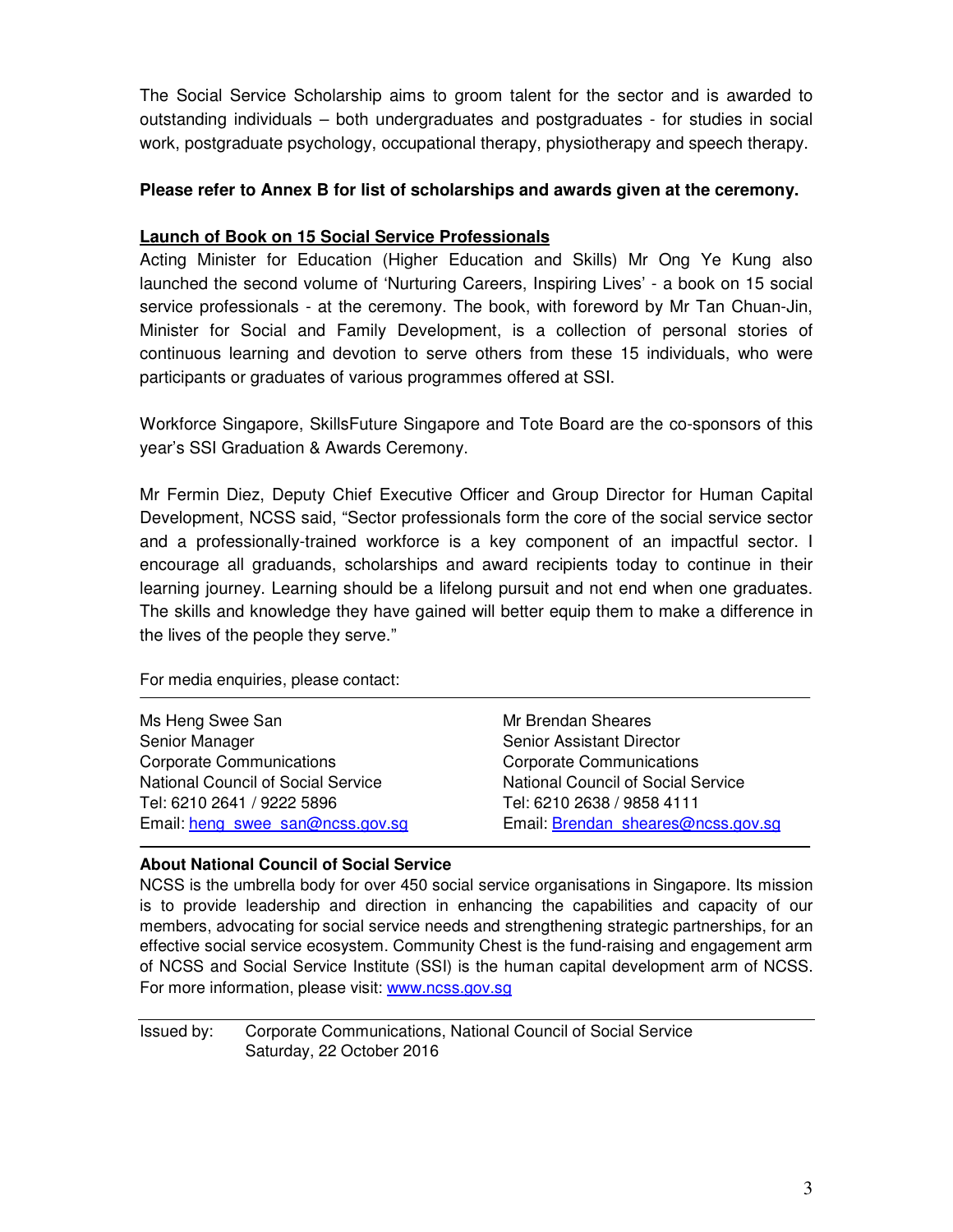The Social Service Scholarship aims to groom talent for the sector and is awarded to outstanding individuals – both undergraduates and postgraduates - for studies in social work, postgraduate psychology, occupational therapy, physiotherapy and speech therapy.

#### **Please refer to Annex B for list of scholarships and awards given at the ceremony.**

#### **Launch of Book on 15 Social Service Professionals**

Acting Minister for Education (Higher Education and Skills) Mr Ong Ye Kung also launched the second volume of 'Nurturing Careers, Inspiring Lives' - a book on 15 social service professionals - at the ceremony. The book, with foreword by Mr Tan Chuan-Jin, Minister for Social and Family Development, is a collection of personal stories of continuous learning and devotion to serve others from these 15 individuals, who were participants or graduates of various programmes offered at SSI.

Workforce Singapore, SkillsFuture Singapore and Tote Board are the co-sponsors of this year's SSI Graduation & Awards Ceremony.

Mr Fermin Diez, Deputy Chief Executive Officer and Group Director for Human Capital Development, NCSS said, "Sector professionals form the core of the social service sector and a professionally-trained workforce is a key component of an impactful sector. I encourage all graduands, scholarships and award recipients today to continue in their learning journey. Learning should be a lifelong pursuit and not end when one graduates. The skills and knowledge they have gained will better equip them to make a difference in the lives of the people they serve."

For media enquiries, please contact:

| Ms Heng Swee San                   | Mr Brendan Sheares                 |
|------------------------------------|------------------------------------|
| Senior Manager                     | <b>Senior Assistant Director</b>   |
| <b>Corporate Communications</b>    | <b>Corporate Communications</b>    |
| National Council of Social Service | National Council of Social Service |
| Tel: 6210 2641 / 9222 5896         | Tel: 6210 2638 / 9858 4111         |
| Email: heng swee san@ncss.gov.sg   | Email: Brendan sheares@ncss.gov.sq |
|                                    |                                    |

#### **About National Council of Social Service**

NCSS is the umbrella body for over 450 social service organisations in Singapore. Its mission is to provide leadership and direction in enhancing the capabilities and capacity of our members, advocating for social service needs and strengthening strategic partnerships, for an effective social service ecosystem. Community Chest is the fund-raising and engagement arm of NCSS and Social Service Institute (SSI) is the human capital development arm of NCSS. For more information, please visit: www.ncss.gov.sg

Issued by: Corporate Communications, National Council of Social Service Saturday, 22 October 2016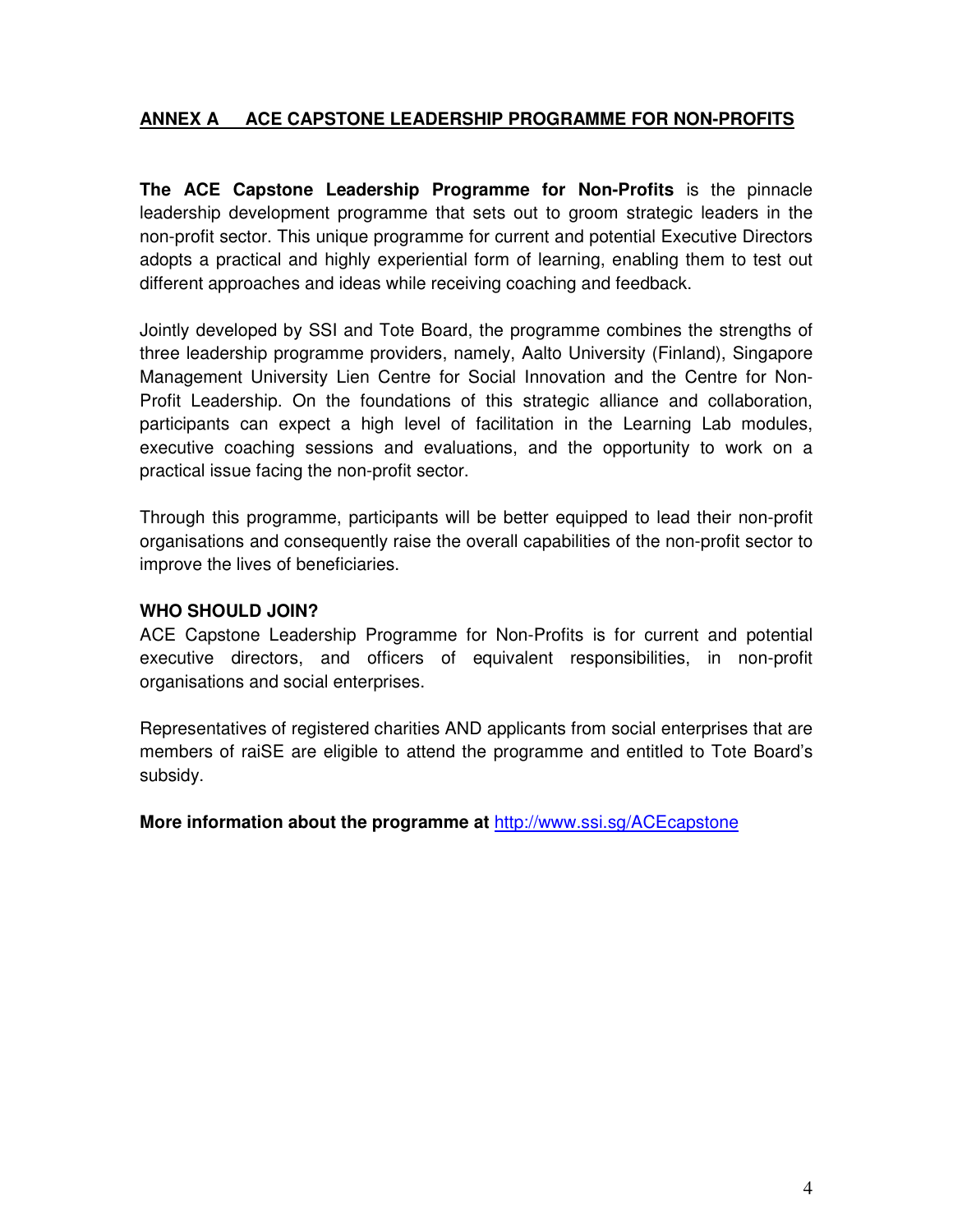## **ANNEX A ACE CAPSTONE LEADERSHIP PROGRAMME FOR NON-PROFITS**

**The ACE Capstone Leadership Programme for Non-Profits** is the pinnacle leadership development programme that sets out to groom strategic leaders in the non-profit sector. This unique programme for current and potential Executive Directors adopts a practical and highly experiential form of learning, enabling them to test out different approaches and ideas while receiving coaching and feedback.

Jointly developed by SSI and Tote Board, the programme combines the strengths of three leadership programme providers, namely, Aalto University (Finland), Singapore Management University Lien Centre for Social Innovation and the Centre for Non-Profit Leadership. On the foundations of this strategic alliance and collaboration, participants can expect a high level of facilitation in the Learning Lab modules, executive coaching sessions and evaluations, and the opportunity to work on a practical issue facing the non-profit sector.

Through this programme, participants will be better equipped to lead their non-profit organisations and consequently raise the overall capabilities of the non-profit sector to improve the lives of beneficiaries.

#### **WHO SHOULD JOIN?**

ACE Capstone Leadership Programme for Non-Profits is for current and potential executive directors, and officers of equivalent responsibilities, in non-profit organisations and social enterprises.

Representatives of registered charities AND applicants from social enterprises that are members of raiSE are eligible to attend the programme and entitled to Tote Board's subsidy.

**More information about the programme at** http://www.ssi.sg/ACEcapstone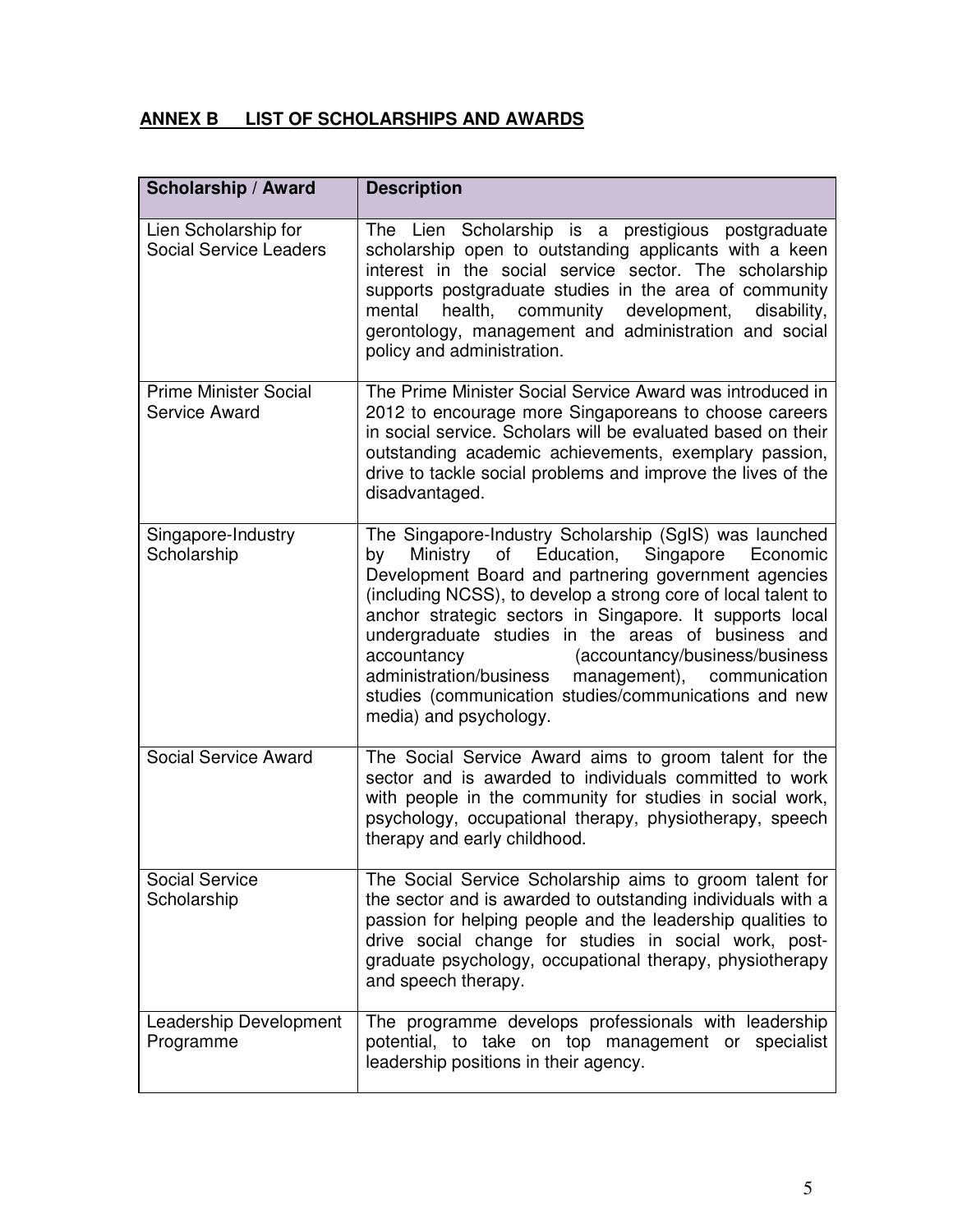# **ANNEX B LIST OF SCHOLARSHIPS AND AWARDS**

| Scholarship / Award                                   | <b>Description</b>                                                                                                                                                                                                                                                                                                                                                                                                                                                                                                                                      |
|-------------------------------------------------------|---------------------------------------------------------------------------------------------------------------------------------------------------------------------------------------------------------------------------------------------------------------------------------------------------------------------------------------------------------------------------------------------------------------------------------------------------------------------------------------------------------------------------------------------------------|
| Lien Scholarship for<br><b>Social Service Leaders</b> | The Lien Scholarship is a prestigious postgraduate<br>scholarship open to outstanding applicants with a keen<br>interest in the social service sector. The scholarship<br>supports postgraduate studies in the area of community<br>community<br>development,<br>disability,<br>mental<br>health,<br>gerontology, management and administration and social<br>policy and administration.                                                                                                                                                                |
| <b>Prime Minister Social</b><br>Service Award         | The Prime Minister Social Service Award was introduced in<br>2012 to encourage more Singaporeans to choose careers<br>in social service. Scholars will be evaluated based on their<br>outstanding academic achievements, exemplary passion,<br>drive to tackle social problems and improve the lives of the<br>disadvantaged.                                                                                                                                                                                                                           |
| Singapore-Industry<br>Scholarship                     | The Singapore-Industry Scholarship (SgIS) was launched<br>of Education, Singapore<br>Economic<br>Ministry<br>by<br>Development Board and partnering government agencies<br>(including NCSS), to develop a strong core of local talent to<br>anchor strategic sectors in Singapore. It supports local<br>undergraduate studies in the areas of business and<br>accountancy<br>(accountancy/business/business<br>administration/business<br>management), communication<br>studies (communication studies/communications and new<br>media) and psychology. |
| <b>Social Service Award</b>                           | The Social Service Award aims to groom talent for the<br>sector and is awarded to individuals committed to work<br>with people in the community for studies in social work,<br>psychology, occupational therapy, physiotherapy, speech<br>therapy and early childhood.                                                                                                                                                                                                                                                                                  |
| <b>Social Service</b><br>Scholarship                  | The Social Service Scholarship aims to groom talent for<br>the sector and is awarded to outstanding individuals with a<br>passion for helping people and the leadership qualities to<br>drive social change for studies in social work, post-<br>graduate psychology, occupational therapy, physiotherapy<br>and speech therapy.                                                                                                                                                                                                                        |
| Leadership Development<br>Programme                   | The programme develops professionals with leadership<br>potential, to take on top management or specialist<br>leadership positions in their agency.                                                                                                                                                                                                                                                                                                                                                                                                     |